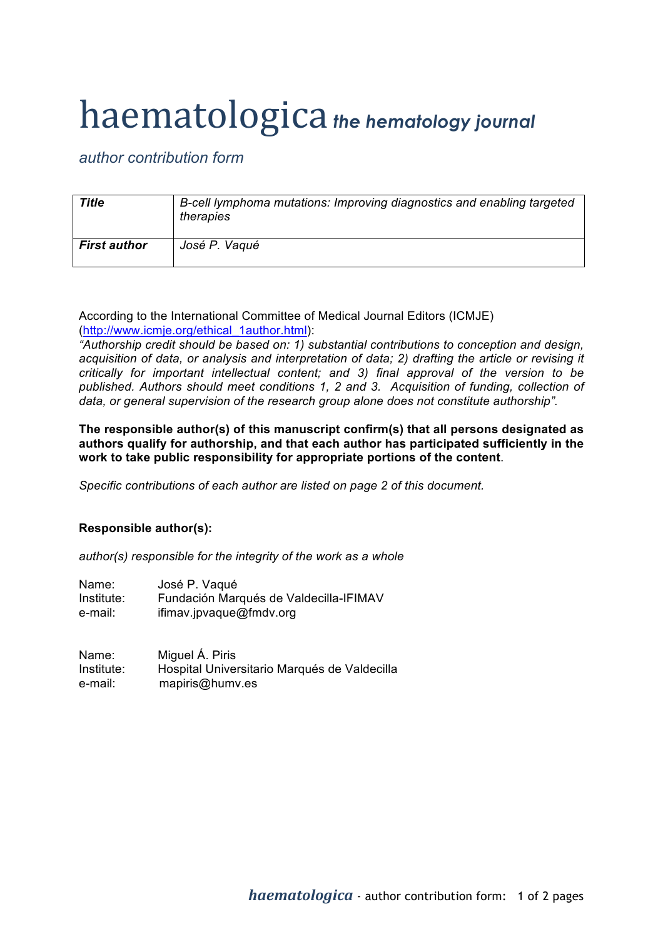## haematologica *the hematology journal*

*author contribution form*

| Title               | B-cell lymphoma mutations: Improving diagnostics and enabling targeted<br>therapies |
|---------------------|-------------------------------------------------------------------------------------|
| <b>First author</b> | José P. Vaqué                                                                       |

According to the International Committee of Medical Journal Editors (ICMJE) (http://www.icmje.org/ethical\_1author.html):

*"Authorship credit should be based on: 1) substantial contributions to conception and design, acquisition of data, or analysis and interpretation of data; 2) drafting the article or revising it critically for important intellectual content; and 3) final approval of the version to be*  published. Authors should meet conditions 1, 2 and 3. Acquisition of funding, collection of *data, or general supervision of the research group alone does not constitute authorship".*

**The responsible author(s) of this manuscript confirm(s) that all persons designated as authors qualify for authorship, and that each author has participated sufficiently in the work to take public responsibility for appropriate portions of the content**.

*Specific contributions of each author are listed on page 2 of this document.*

## **Responsible author(s):**

*author(s) responsible for the integrity of the work as a whole*

| Name:      | José P. Vaqué                          |
|------------|----------------------------------------|
| Institute: | Fundación Marqués de Valdecilla-IFIMAV |
| e-mail:    | ifimav.jpvaque@fmdv.org                |

Name: Miguel Á. Piris Institute: Hospital Universitario Marqués de Valdecilla e-mail: mapiris@humv.es